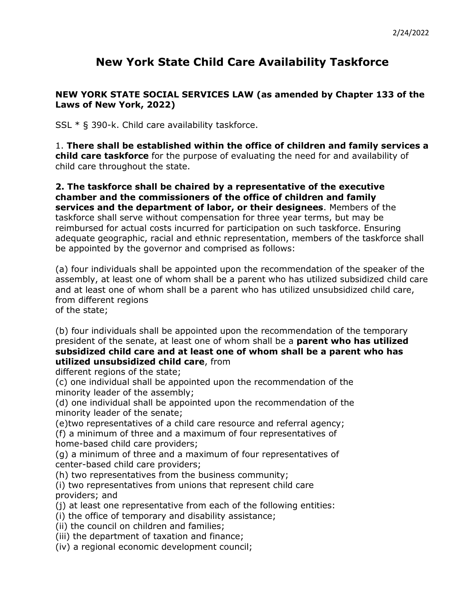## **New York State Child Care Availability Taskforce**

## **NEW YORK STATE SOCIAL SERVICES LAW (as amended by Chapter 133 of the Laws of New York, 2022)**

SSL \* § 390-k. Child care availability taskforce.

1. **There shall be established within the office of children and family services a child care taskforce** for the purpose of evaluating the need for and availability of child care throughout the state.

**2. The taskforce shall be chaired by a representative of the executive chamber and the commissioners of the office of children and family services and the department of labor, or their designees**. Members of the taskforce shall serve without compensation for three year terms, but may be reimbursed for actual costs incurred for participation on such taskforce. Ensuring adequate geographic, racial and ethnic representation, members of the taskforce shall be appointed by the governor and comprised as follows:

(a) four individuals shall be appointed upon the recommendation of the speaker of the assembly, at least one of whom shall be a parent who has utilized subsidized child care and at least one of whom shall be a parent who has utilized unsubsidized child care, from different regions of the state;

(b) four individuals shall be appointed upon the recommendation of the temporary president of the senate, at least one of whom shall be a **parent who has utilized subsidized child care and at least one of whom shall be a parent who has utilized unsubsidized child care**, from

different regions of the state;

(c) one individual shall be appointed upon the recommendation of the minority leader of the assembly;

(d) one individual shall be appointed upon the recommendation of the minority leader of the senate;

(e)two representatives of a child care resource and referral agency;

(f) a minimum of three and a maximum of four representatives of home-based child care providers;

(g) a minimum of three and a maximum of four representatives of center-based child care providers;

(h) two representatives from the business community;

(i) two representatives from unions that represent child care providers; and

- (j) at least one representative from each of the following entities:
- (i) the office of temporary and disability assistance;
- (ii) the council on children and families;
- (iii) the department of taxation and finance;
- (iv) a regional economic development council;